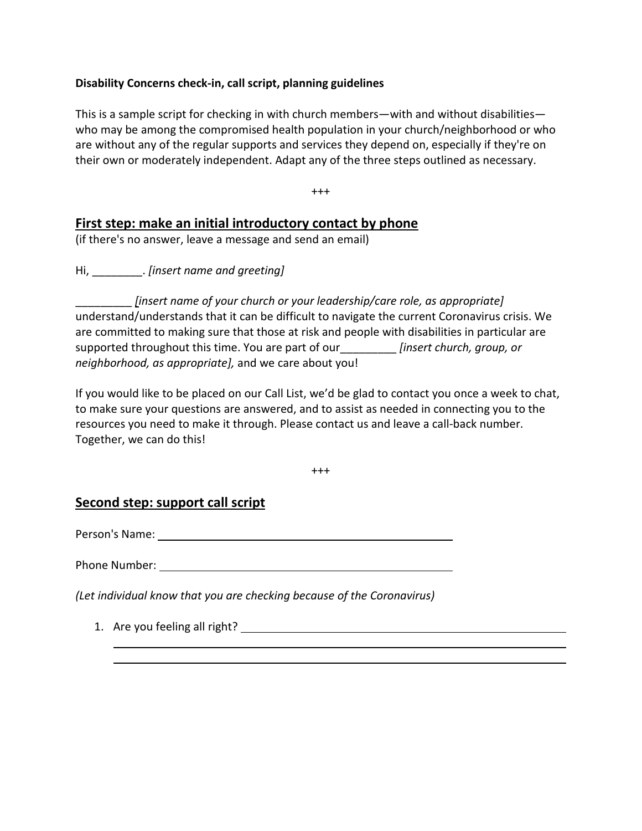## **Disability Concerns check-in, call script, planning guidelines**

This is a sample script for checking in with church members—with and without disabilities who may be among the compromised health population in your church/neighborhood or who are without any of the regular supports and services they depend on, especially if they're on their own or moderately independent. Adapt any of the three steps outlined as necessary.

+++

## **First step: make an initial introductory contact by phone**

(if there's no answer, leave a message and send an email)

Hi, \_\_\_\_\_\_\_\_. *[insert name and greeting]*

\_\_\_\_\_\_\_\_\_ *[insert name of your church or your leadership/care role, as appropriate]* understand/understands that it can be difficult to navigate the current Coronavirus crisis. We are committed to making sure that those at risk and people with disabilities in particular are supported throughout this time. You are part of our\_\_\_\_\_\_\_\_\_ *[insert church, group, or neighborhood, as appropriate],* and we care about you!

If you would like to be placed on our Call List, we'd be glad to contact you once a week to chat, to make sure your questions are answered, and to assist as needed in connecting you to the resources you need to make it through. Please contact us and leave a call-back number. Together, we can do this!

+++

## **Second step: support call script**

Person's Name:

Phone Number:

*(Let individual know that you are checking because of the Coronavirus)*

1. Are you feeling all right?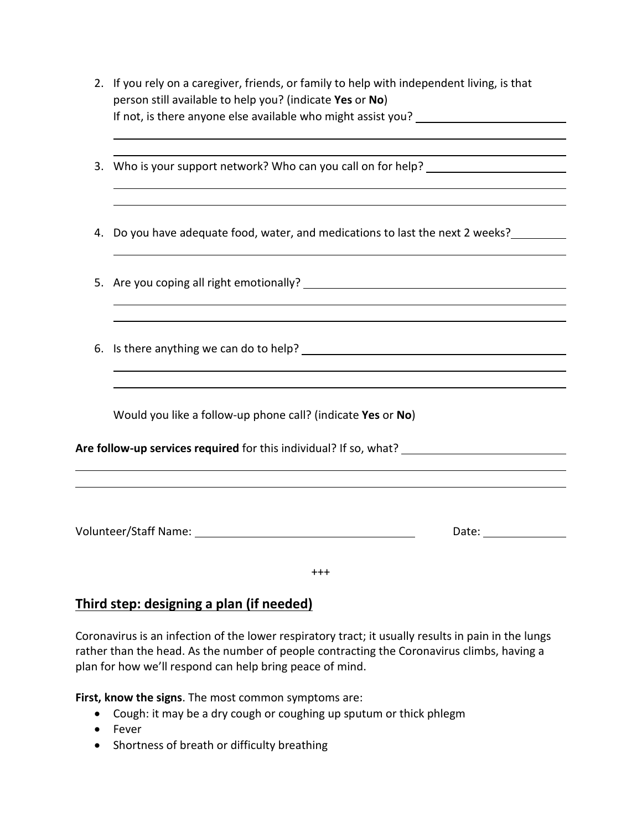- 2. If you rely on a caregiver, friends, or family to help with independent living, is that person still available to help you? (indicate **Yes** or **No**) If not, is there anyone else available who might assist you?
- 3. Who is your support network? Who can you call on for help? \_\_\_\_\_\_\_\_\_\_\_\_\_\_\_\_\_\_
- 4. Do you have adequate food, water, and medications to last the next 2 weeks?
- 5. Are you coping all right emotionally?
- 6. Is there anything we can do to help?

Would you like a follow-up phone call? (indicate **Yes** or **No**)

**Are follow-up services required** for this individual? If so, what?

Volunteer/Staff Name: Date:

+++

## **Third step: designing a plan (if needed)**

Coronavirus is an infection of the lower respiratory tract; it usually results in pain in the lungs rather than the head. As the number of people contracting the Coronavirus climbs, having a plan for how we'll respond can help bring peace of mind.

**First, know the signs**. The most common symptoms are:

- Cough: it may be a dry cough or coughing up sputum or thick phlegm
- Fever
- Shortness of breath or difficulty breathing